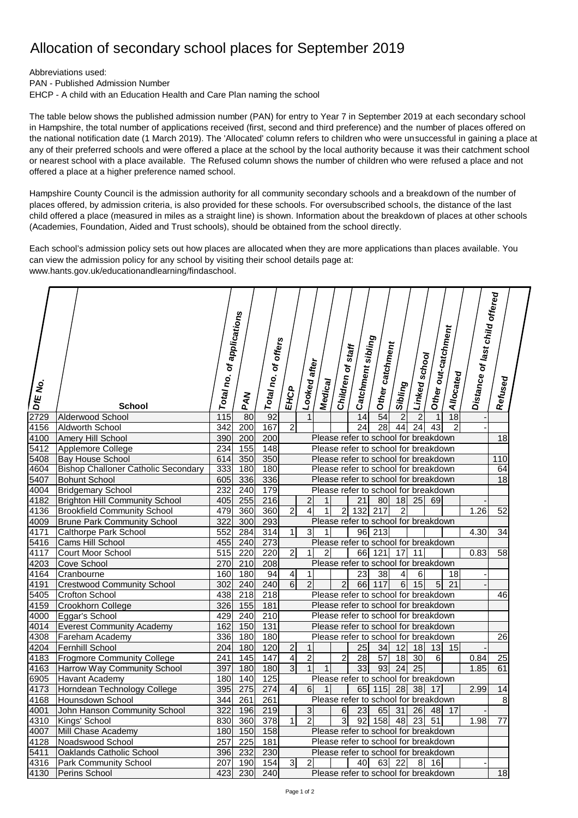## Allocation of secondary school places for September 2019

Abbreviations used:

PAN - Published Admission Number

EHCP - A child with an Education Health and Care Plan naming the school

The table below shows the published admission number (PAN) for entry to Year 7 in September 2019 at each secondary school in Hampshire, the total number of applications received (first, second and third preference) and the number of places offered on the national notification date (1 March 2019). The 'Allocated' column refers to children who were unsuccessful in gaining a place at any of their preferred schools and were offered a place at the school by the local authority because it was their catchment school or nearest school with a place available. The Refused column shows the number of children who were refused a place and not offered a place at a higher preference named school.

Hampshire County Council is the admission authority for all community secondary schools and a breakdown of the number of places offered, by admission criteria, is also provided for these schools. For oversubscribed schools, the distance of the last child offered a place (measured in miles as a straight line) is shown. Information about the breakdown of places at other schools (Academies, Foundation, Aided and Trust schools), should be obtained from the school directly.

Each school's admission policy sets out how places are allocated when they are more applications than places available. You can view the admission policy for any school by visiting their school details page at: [www.hants.gov.uk/educationandlearning/findaschool.](http://www.hants.gov.uk/educationandlearning/findaschool.)

| DIE No. | <b>School</b>                              | Total no.        | of applications<br>PAN | <b>offers</b><br>ð<br>Total no. | EHCP                                 | Looked after   | Medical        | Children of staff | Catchment sibling | Other catchment                      | Sibling         | Linked school   | Other out-catchment | Allocated      | Distance of last child offered | Refused         |  |
|---------|--------------------------------------------|------------------|------------------------|---------------------------------|--------------------------------------|----------------|----------------|-------------------|-------------------|--------------------------------------|-----------------|-----------------|---------------------|----------------|--------------------------------|-----------------|--|
| 2729    | Alderwood School                           | 115              | 80                     | 92                              |                                      | 1              |                |                   | 14                | 54                                   | $\overline{2}$  | $\overline{2}$  | 1                   | 18             |                                |                 |  |
| 4156    | Aldworth School                            | 342              | 200                    | 167                             | $\overline{2}$                       |                |                |                   | 24                | 28                                   | 44              | $\overline{24}$ | 43                  | $\overline{2}$ |                                |                 |  |
| 4100    | Amery Hill School                          | 390              | 200                    | 200                             |                                      |                |                |                   |                   | Please refer to school for breakdown |                 |                 |                     |                |                                | $\overline{18}$ |  |
| 5412    | Applemore College                          | 234              | 155                    | 148                             | Please refer to school for breakdown |                |                |                   |                   |                                      |                 |                 |                     |                |                                |                 |  |
| 5408    | <b>Bay House School</b>                    | 614              | 350                    | 350                             | Please refer to school for breakdown |                |                |                   |                   |                                      |                 |                 |                     |                | 110                            |                 |  |
| 4604    | <b>Bishop Challoner Catholic Secondary</b> | 333              | 180                    | 180                             | Please refer to school for breakdown |                |                |                   |                   |                                      |                 |                 |                     |                | 64                             |                 |  |
| 5407    | <b>Bohunt School</b>                       | 605              | 336                    | 336                             | Please refer to school for breakdown |                |                |                   |                   |                                      |                 |                 |                     |                | 18                             |                 |  |
| 4004    | <b>Bridgemary School</b>                   | 232              | 240                    | 179                             | Please refer to school for breakdown |                |                |                   |                   |                                      |                 |                 |                     |                |                                |                 |  |
| 4182    | <b>Brighton Hill Community School</b>      | 405              | 255                    | 216                             |                                      | 2              | $\mathbf{1}$   |                   | 21                | 80                                   | 18              | 25              | 69                  |                |                                |                 |  |
| 4136    | <b>Brookfield Community School</b>         | 479              | 360                    | 360                             | $\overline{c}$                       | 4              | $\mathbf{1}$   | $\overline{c}$    | 132               | 217                                  | $\overline{c}$  |                 |                     |                | 1.26                           | $\overline{52}$ |  |
| 4009    | <b>Brune Park Community School</b>         | 322              | 300                    | 293                             |                                      |                |                |                   |                   | Please refer to school for breakdown |                 |                 |                     |                |                                |                 |  |
| 4171    | Calthorpe Park School                      | 552              | 284                    | $\overline{314}$                | $\mathbf{1}$                         | 3              | $\mathbf 1$    |                   | 96                | $\overline{213}$                     |                 |                 |                     |                | 4.30                           | 34              |  |
| 5416    | Cams Hill School                           | 455              | 240                    | 273                             |                                      |                |                |                   |                   | Please refer to school for breakdown |                 |                 |                     |                |                                |                 |  |
| 4117    | Court Moor School                          | 515              | 220                    | 220                             | $\sqrt{2}$                           | 1              | $\overline{2}$ |                   | 66                | 121                                  | 17              | 11              |                     |                | 0.83                           | 58              |  |
| 4203    | Cove School                                | 270              | 210                    | 208                             |                                      |                |                |                   |                   | Please refer to school for breakdown |                 |                 |                     |                |                                |                 |  |
| 4164    | Cranbourne                                 | 160              | 180                    | 94                              | $\overline{\mathbf{4}}$              | 1              |                |                   | 23                | 38                                   | 4               | 6               |                     | 18             |                                |                 |  |
| 4191    | <b>Crestwood Community School</b>          | 302              | 240                    | 240                             | $\overline{6}$                       | $\overline{2}$ |                | $\overline{c}$    | 66                | 117                                  | 6               | 15              | 5                   | 21             |                                |                 |  |
| 5405    | Crofton School                             | 438              | 218                    | 218                             | Please refer to school for breakdown |                |                |                   |                   |                                      |                 |                 |                     |                | 46                             |                 |  |
| 4159    | Crookhorn College                          | 326              | 155                    | 181                             | Please refer to school for breakdown |                |                |                   |                   |                                      |                 |                 |                     |                |                                |                 |  |
| 4000    | Eggar's School                             | 429              | 240                    | $\overline{210}$                | Please refer to school for breakdown |                |                |                   |                   |                                      |                 |                 |                     |                |                                |                 |  |
| 4014    | <b>Everest Community Academy</b>           | 162              | 150                    | 131                             |                                      |                |                |                   |                   | Please refer to school for breakdown |                 |                 |                     |                |                                |                 |  |
| 4308    | Fareham Academy                            | 336              | 180                    | 180                             |                                      |                |                |                   |                   | Please refer to school for breakdown |                 |                 |                     |                |                                | 26              |  |
| 4204    | <b>Fernhill School</b>                     | 204              | 180                    | 120                             | $\overline{\mathbf{c}}$              | 1              |                |                   | 25                | 34                                   | 12              | 18              | 13                  | 15             |                                |                 |  |
| 4183    | <b>Frogmore Community College</b>          | 241              | 145                    | 147                             | $\overline{\mathbf{4}}$              | $\overline{2}$ |                | $\overline{2}$    | $\overline{28}$   | $\overline{57}$                      | $\overline{18}$ | $\overline{30}$ | 6                   |                | 0.84                           | 25              |  |
| 4163    | Harrow Way Community School                | 397              | 180                    | 180                             | 3                                    | $\overline{1}$ | $\mathbf{1}$   |                   | $\overline{33}$   | 93                                   | $\overline{24}$ | $\overline{25}$ |                     |                | 1.85                           | 61              |  |
| 6905    | <b>Havant Academy</b>                      | 180              | 140                    | 125                             |                                      |                |                |                   |                   | Please refer to school for breakdown |                 |                 |                     |                |                                |                 |  |
| 4173    | Horndean Technology College                | 395              | 275                    | 274                             | $\overline{4}$                       | 6 <sup>1</sup> | $\mathbf{1}$   |                   | 65                | 115                                  | 28              | 38              | 17                  |                | 2.99                           | 14              |  |
| 4168    | Hounsdown School                           | 344              | 261                    | 261                             |                                      |                |                |                   |                   | Please refer to school for breakdown |                 |                 |                     |                |                                | 8               |  |
| 4001    | John Hanson Community School               | 322              | 196                    | 219                             |                                      | 3              |                | 6                 | 23                | 65                                   | 31              | 26              | 48                  | 17             |                                |                 |  |
| 4310    | Kings' School                              | 830              | 360                    | 378                             | $\mathbf{1}$                         | $\overline{2}$ |                | 3                 | 92                | 158                                  | 48              | 23              | 51                  |                | 1.98                           | 77              |  |
| 4007    | Mill Chase Academy                         | 180              | 150                    | 158                             |                                      |                |                |                   |                   | Please refer to school for breakdown |                 |                 |                     |                |                                |                 |  |
| 4128    | Noadswood School                           | 257              | $\overline{225}$       | 181                             |                                      |                |                |                   |                   | Please refer to school for breakdown |                 |                 |                     |                |                                |                 |  |
| 5411    | Oaklands Catholic School                   | 396              | 232                    | 230                             |                                      |                |                |                   |                   | Please refer to school for breakdown |                 |                 |                     |                |                                |                 |  |
| 4316    | <b>Park Community School</b>               | 207              | 190                    | 154                             | 3                                    | $\overline{c}$ |                |                   | 40                | 63                                   | 22              | 8               | 16                  |                |                                |                 |  |
| 4130    | Perins School                              | $\overline{423}$ | 230                    | 240                             |                                      |                |                |                   |                   | Please refer to school for breakdown |                 |                 |                     |                |                                | 18              |  |